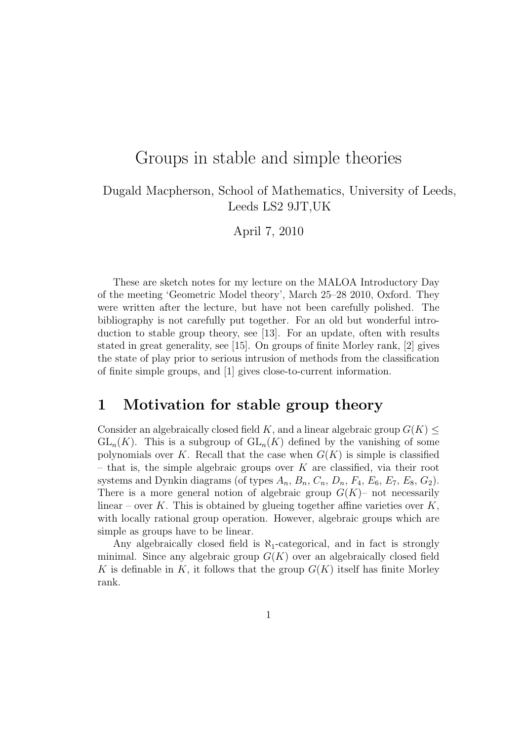# Groups in stable and simple theories

### Dugald Macpherson, School of Mathematics, University of Leeds, Leeds LS2 9JT,UK

April 7, 2010

These are sketch notes for my lecture on the MALOA Introductory Day of the meeting 'Geometric Model theory', March 25–28 2010, Oxford. They were written after the lecture, but have not been carefully polished. The bibliography is not carefully put together. For an old but wonderful introduction to stable group theory, see [13]. For an update, often with results stated in great generality, see [15]. On groups of finite Morley rank, [2] gives the state of play prior to serious intrusion of methods from the classification of finite simple groups, and [1] gives close-to-current information.

## 1 Motivation for stable group theory

Consider an algebraically closed field K, and a linear algebraic group  $G(K)$  $GL_n(K)$ . This is a subgroup of  $GL_n(K)$  defined by the vanishing of some polynomials over K. Recall that the case when  $G(K)$  is simple is classified – that is, the simple algebraic groups over  $K$  are classified, via their root systems and Dynkin diagrams (of types  $A_n$ ,  $B_n$ ,  $C_n$ ,  $D_n$ ,  $F_4$ ,  $E_6$ ,  $E_7$ ,  $E_8$ ,  $G_2$ ). There is a more general notion of algebraic group  $G(K)$ – not necessarily linear – over K. This is obtained by glueing together affine varieties over  $K$ , with locally rational group operation. However, algebraic groups which are simple as groups have to be linear.

Any algebraically closed field is  $\aleph_1$ -categorical, and in fact is strongly minimal. Since any algebraic group  $G(K)$  over an algebraically closed field K is definable in K, it follows that the group  $G(K)$  itself has finite Morley rank.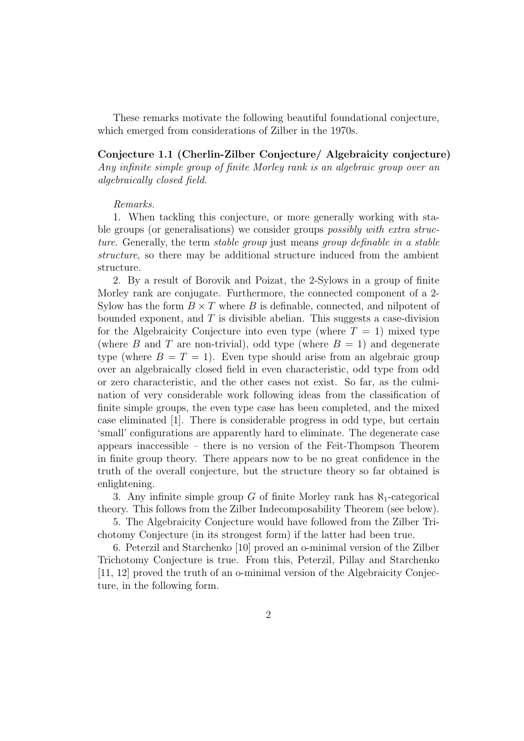These remarks motivate the following beautiful foundational conjecture, which emerged from considerations of Zilber in the 1970s.

Conjecture 1.1 (Cherlin-Zilber Conjecture/ Algebraicity conjecture) Any infinite simple group of finite Morley rank is an algebraic group over an algebraically closed field.

#### Remarks.

1. When tackling this conjecture, or more generally working with stable groups (or generalisations) we consider groups *possibly with extra struc*ture. Generally, the term stable group just means group definable in a stable structure, so there may be additional structure induced from the ambient structure.

2. By a result of Borovik and Poizat, the 2-Sylows in a group of finite Morley rank are conjugate. Furthermore, the connected component of a 2- Sylow has the form  $B \times T$  where B is definable, connected, and nilpotent of bounded exponent, and  $T$  is divisible abelian. This suggests a case-division for the Algebraicity Conjecture into even type (where  $T = 1$ ) mixed type (where B and T are non-trivial), odd type (where  $B = 1$ ) and degenerate type (where  $B = T = 1$ ). Even type should arise from an algebraic group over an algebraically closed field in even characteristic, odd type from odd or zero characteristic, and the other cases not exist. So far, as the culmination of very considerable work following ideas from the classification of finite simple groups, the even type case has been completed, and the mixed case eliminated [1]. There is considerable progress in odd type, but certain 'small' configurations are apparently hard to eliminate. The degenerate case appears inaccessible – there is no version of the Feit-Thompson Theorem in finite group theory. There appears now to be no great confidence in the truth of the overall conjecture, but the structure theory so far obtained is enlightening.

3. Any infinite simple group G of finite Morley rank has  $\aleph_1$ -categorical theory. This follows from the Zilber Indecomposability Theorem (see below).

5. The Algebraicity Conjecture would have followed from the Zilber Trichotomy Conjecture (in its strongest form) if the latter had been true.

6. Peterzil and Starchenko [10] proved an o-minimal version of the Zilber Trichotomy Conjecture is true. From this, Peterzil, Pillay and Starchenko [11, 12] proved the truth of an o-minimal version of the Algebraicity Conjecture, in the following form.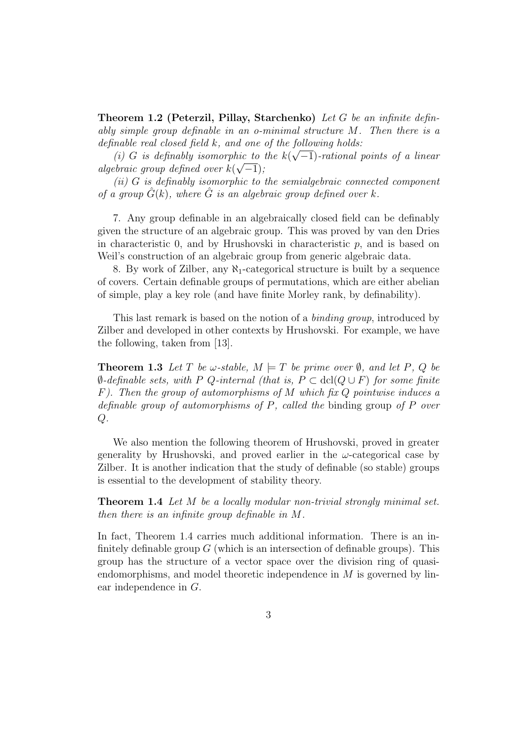**Theorem 1.2 (Peterzil, Pillay, Starchenko)** Let G be an infinite definably simple group definable in an o-minimal structure M. Then there is a definable real closed field  $k$ , and one of the following holds:

(i) G is definably isomorphic to the  $k(\sqrt{-1})$ -rational points of a linear algebraic group defined over  $k(\sqrt{-1})$ ;

 $(ii)$  G is definably isomorphic to the semialgebraic connected component of a group  $\hat{G}(k)$ , where  $\hat{G}$  is an algebraic group defined over k.

7. Any group definable in an algebraically closed field can be definably given the structure of an algebraic group. This was proved by van den Dries in characteristic 0, and by Hrushovski in characteristic  $p$ , and is based on Weil's construction of an algebraic group from generic algebraic data.

8. By work of Zilber, any  $\aleph_1$ -categorical structure is built by a sequence of covers. Certain definable groups of permutations, which are either abelian of simple, play a key role (and have finite Morley rank, by definability).

This last remark is based on the notion of a binding group, introduced by Zilber and developed in other contexts by Hrushovski. For example, we have the following, taken from [13].

**Theorem 1.3** Let T be  $\omega$ -stable,  $M \models T$  be prime over  $\emptyset$ , and let P, Q be  $\emptyset$ -definable sets, with P Q-internal (that is,  $P \subset \text{dcl}(Q \cup F)$  for some finite  $F$ ). Then the group of automorphisms of M which fix Q pointwise induces a definable group of automorphisms of P, called the binding group of P over  $Q$ .

We also mention the following theorem of Hrushovski, proved in greater generality by Hrushovski, and proved earlier in the  $\omega$ -categorical case by Zilber. It is another indication that the study of definable (so stable) groups is essential to the development of stability theory.

**Theorem 1.4** Let M be a locally modular non-trivial strongly minimal set. then there is an infinite group definable in M.

In fact, Theorem 1.4 carries much additional information. There is an infinitely definable group  $G$  (which is an intersection of definable groups). This group has the structure of a vector space over the division ring of quasiendomorphisms, and model theoretic independence in M is governed by linear independence in G.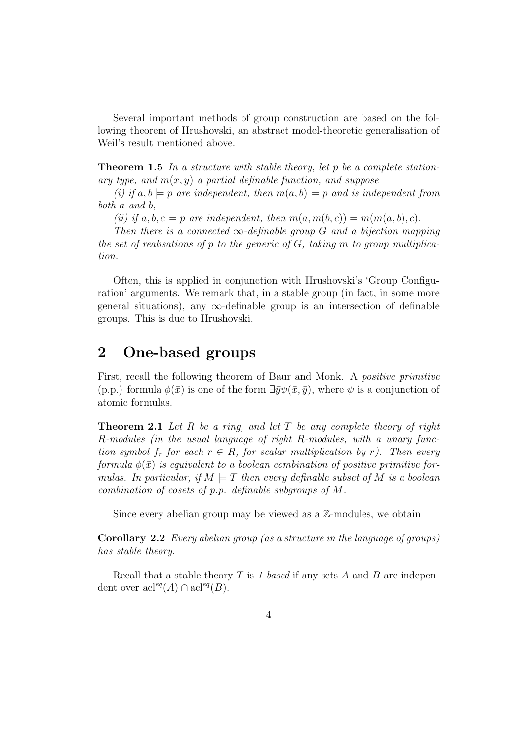Several important methods of group construction are based on the following theorem of Hrushovski, an abstract model-theoretic generalisation of Weil's result mentioned above.

**Theorem 1.5** In a structure with stable theory, let p be a complete stationary type, and  $m(x, y)$  a partial definable function, and suppose

(i) if  $a, b \models p$  are independent, then  $m(a, b) \models p$  and is independent from both a and b,

(ii) if  $a, b, c \models p$  are independent, then  $m(a, m(b, c)) = m(m(a, b), c)$ .

Then there is a connected  $\infty$ -definable group G and a bijection mapping the set of realisations of p to the generic of  $G$ , taking m to group multiplication.

Often, this is applied in conjunction with Hrushovski's 'Group Configuration' arguments. We remark that, in a stable group (in fact, in some more general situations), any  $\infty$ -definable group is an intersection of definable groups. This is due to Hrushovski.

## 2 One-based groups

First, recall the following theorem of Baur and Monk. A positive primitive (p.p.) formula  $\phi(\bar{x})$  is one of the form  $\exists \bar{y}\psi(\bar{x}, \bar{y})$ , where  $\psi$  is a conjunction of atomic formulas.

**Theorem 2.1** Let R be a ring, and let T be any complete theory of right R-modules (in the usual language of right R-modules, with a unary function symbol  $f_r$  for each  $r \in R$ , for scalar multiplication by r). Then every formula  $\phi(\bar{x})$  is equivalent to a boolean combination of positive primitive formulas. In particular, if  $M \models T$  then every definable subset of M is a boolean combination of cosets of p.p. definable subgroups of M.

Since every abelian group may be viewed as a  $\mathbb{Z}$ -modules, we obtain

Corollary 2.2 Every abelian group (as a structure in the language of groups) has stable theory.

Recall that a stable theory  $T$  is 1-based if any sets  $A$  and  $B$  are independent over  $\operatorname{acl}^{eq}(A) \cap \operatorname{acl}^{eq}(B)$ .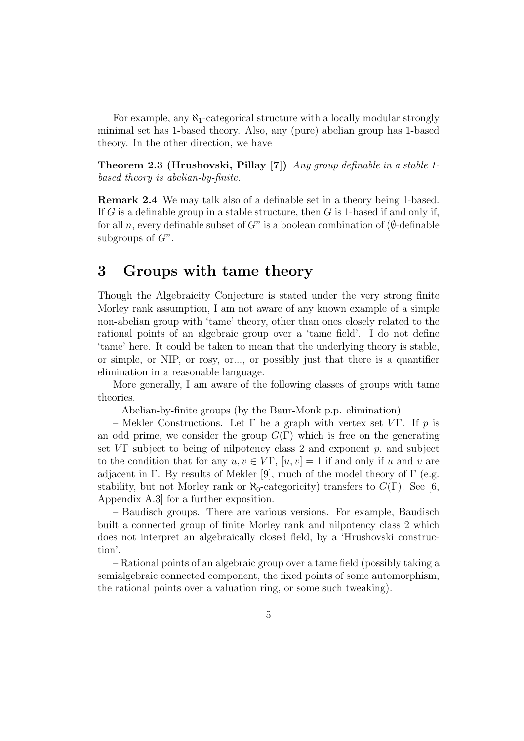For example, any  $\aleph_1$ -categorical structure with a locally modular strongly minimal set has 1-based theory. Also, any (pure) abelian group has 1-based theory. In the other direction, we have

**Theorem 2.3 (Hrushovski, Pillay [7])** Any group definable in a stable 1based theory is abelian-by-finite.

Remark 2.4 We may talk also of a definable set in a theory being 1-based. If G is a definable group in a stable structure, then  $G$  is 1-based if and only if, for all n, every definable subset of  $G<sup>n</sup>$  is a boolean combination of ( $\emptyset$ -definable subgroups of  $G<sup>n</sup>$ .

## 3 Groups with tame theory

Though the Algebraicity Conjecture is stated under the very strong finite Morley rank assumption, I am not aware of any known example of a simple non-abelian group with 'tame' theory, other than ones closely related to the rational points of an algebraic group over a 'tame field'. I do not define 'tame' here. It could be taken to mean that the underlying theory is stable, or simple, or NIP, or rosy, or..., or possibly just that there is a quantifier elimination in a reasonable language.

More generally, I am aware of the following classes of groups with tame theories.

– Abelian-by-finite groups (by the Baur-Monk p.p. elimination)

– Mekler Constructions. Let Γ be a graph with vertex set VΓ. If p is an odd prime, we consider the group  $G(\Gamma)$  which is free on the generating set  $V\Gamma$  subject to being of nilpotency class 2 and exponent p, and subject to the condition that for any  $u, v \in V\Gamma$ ,  $[u, v] = 1$  if and only if u and v are adjacent in Γ. By results of Mekler [9], much of the model theory of Γ (e.g. stability, but not Morley rank or  $\aleph_0$ -categoricity) transfers to  $G(\Gamma)$ . See [6, Appendix A.3] for a further exposition.

– Baudisch groups. There are various versions. For example, Baudisch built a connected group of finite Morley rank and nilpotency class 2 which does not interpret an algebraically closed field, by a 'Hrushovski construction'.

– Rational points of an algebraic group over a tame field (possibly taking a semialgebraic connected component, the fixed points of some automorphism, the rational points over a valuation ring, or some such tweaking).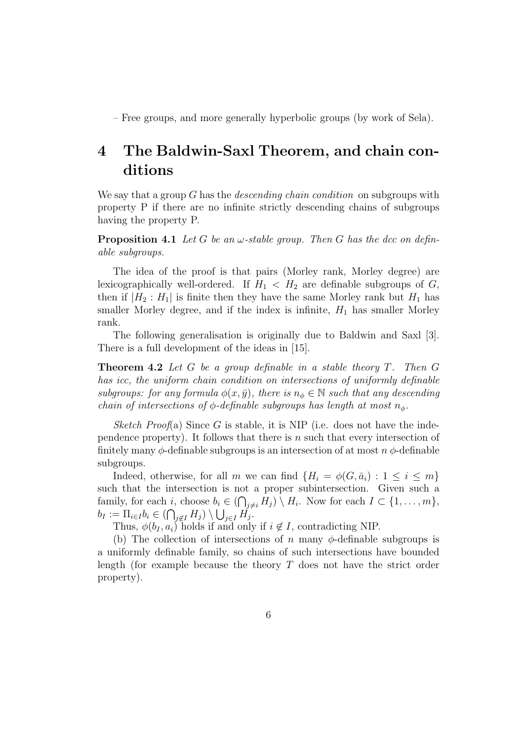– Free groups, and more generally hyperbolic groups (by work of Sela).

# 4 The Baldwin-Saxl Theorem, and chain conditions

We say that a group G has the *descending chain condition* on subgroups with property P if there are no infinite strictly descending chains of subgroups having the property P.

**Proposition 4.1** Let G be an  $\omega$ -stable group. Then G has the dcc on definable subgroups.

The idea of the proof is that pairs (Morley rank, Morley degree) are lexicographically well-ordered. If  $H_1 < H_2$  are definable subgroups of  $G$ , then if  $|H_2: H_1|$  is finite then they have the same Morley rank but  $H_1$  has smaller Morley degree, and if the index is infinite,  $H_1$  has smaller Morley rank.

The following generalisation is originally due to Baldwin and Saxl [3]. There is a full development of the ideas in [15].

**Theorem 4.2** Let G be a group definable in a stable theory  $T$ . Then  $G$ has icc, the uniform chain condition on intersections of uniformly definable subgroups: for any formula  $\phi(x, \bar{y})$ , there is  $n_{\phi} \in \mathbb{N}$  such that any descending chain of intersections of  $\phi$ -definable subgroups has length at most  $n_{\phi}$ .

Sketch Proof(a) Since G is stable, it is NIP (i.e. does not have the independence property). It follows that there is  $n$  such that every intersection of finitely many  $\phi$ -definable subgroups is an intersection of at most  $n \phi$ -definable subgroups.

Indeed, otherwise, for all m we can find  $\{H_i = \phi(G, \bar{a}_i) : 1 \leq i \leq m\}$ such that the intersection is not a proper subintersection. Given such a family, for each i, choose  $b_i \in (\bigcap_{j \neq i} H_j) \setminus H_i$ . Now for each  $I \subset \{1, \ldots, m\}$ ,  $b_I := \prod_{i \in I} b_i \in (\bigcap_{j \notin I} H_j) \setminus \bigcup_{j \in I} H_j.$ 

Thus,  $\phi(b_I, a_i)$  holds if and only if  $i \notin I$ , contradicting NIP.

(b) The collection of intersections of n many  $\phi$ -definable subgroups is a uniformly definable family, so chains of such intersections have bounded length (for example because the theory T does not have the strict order property).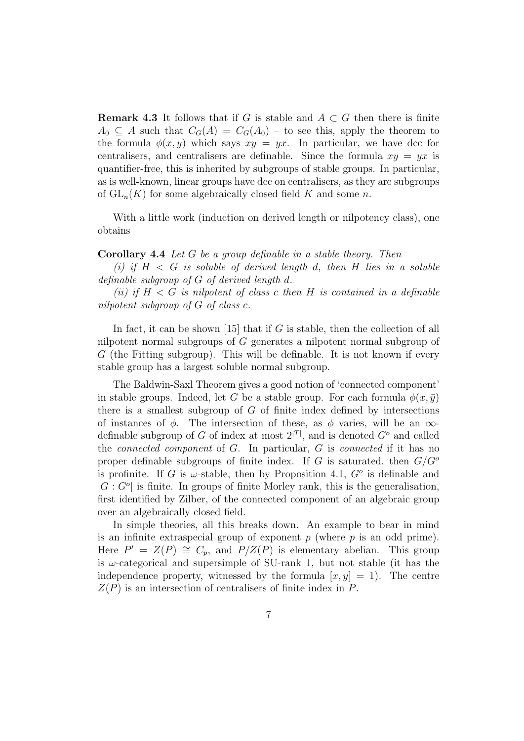**Remark 4.3** It follows that if G is stable and  $A \subset G$  then there is finite  $A_0 \subseteq A$  such that  $C_G(A) = C_G(A_0)$  – to see this, apply the theorem to the formula  $\phi(x, y)$  which says  $xy = yx$ . In particular, we have dcc for centralisers, and centralisers are definable. Since the formula  $xy = yx$  is quantifier-free, this is inherited by subgroups of stable groups. In particular, as is well-known, linear groups have dcc on centralisers, as they are subgroups of  $GL_n(K)$  for some algebraically closed field K and some n.

With a little work (induction on derived length or nilpotency class), one obtains

#### **Corollary 4.4** Let  $G$  be a group definable in a stable theory. Then

(i) if  $H \leq G$  is soluble of derived length d, then H lies in a soluble definable subgroup of G of derived length d.

(ii) if  $H < G$  is nilpotent of class c then H is contained in a definable nilpotent subgroup of G of class c.

In fact, it can be shown [15] that if  $G$  is stable, then the collection of all nilpotent normal subgroups of G generates a nilpotent normal subgroup of G (the Fitting subgroup). This will be definable. It is not known if every stable group has a largest soluble normal subgroup.

The Baldwin-Saxl Theorem gives a good notion of 'connected component' in stable groups. Indeed, let G be a stable group. For each formula  $\phi(x, \bar{y})$ there is a smallest subgroup of  $G$  of finite index defined by intersections of instances of  $\phi$ . The intersection of these, as  $\phi$  varies, will be an  $\infty$ definable subgroup of G of index at most  $2^{|T|}$ , and is denoted  $G^o$  and called the connected component of G. In particular, G is connected if it has no proper definable subgroups of finite index. If G is saturated, then  $G/G^{\circ}$ is profinite. If G is  $\omega$ -stable, then by Proposition 4.1,  $G^o$  is definable and  $|G: G^o|$  is finite. In groups of finite Morley rank, this is the generalisation, first identified by Zilber, of the connected component of an algebraic group over an algebraically closed field.

In simple theories, all this breaks down. An example to bear in mind is an infinite extraspecial group of exponent  $p$  (where  $p$  is an odd prime). Here  $P' = Z(P) \cong C_p$ , and  $P/Z(P)$  is elementary abelian. This group is  $\omega$ -categorical and supersimple of SU-rank 1, but not stable (it has the independence property, witnessed by the formula  $[x, y] = 1$ . The centre  $Z(P)$  is an intersection of centralisers of finite index in P.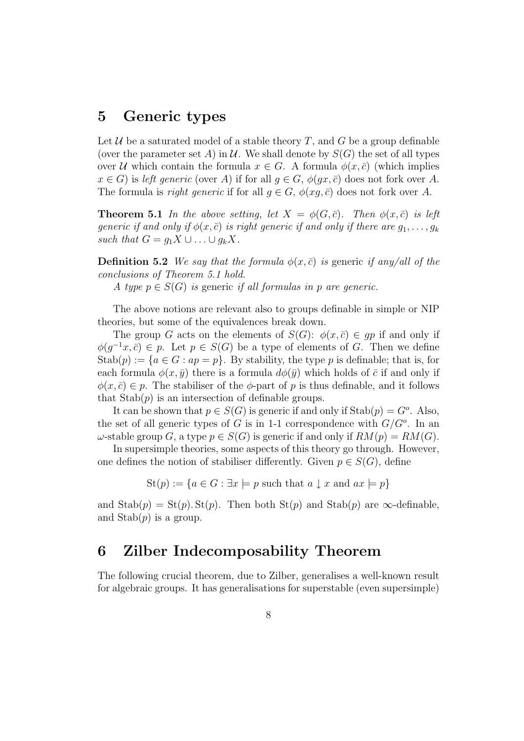## 5 Generic types

Let  $U$  be a saturated model of a stable theory T, and G be a group definable (over the parameter set A) in U. We shall denote by  $S(G)$  the set of all types over U which contain the formula  $x \in G$ . A formula  $\phi(x, \bar{c})$  (which implies  $x \in G$ ) is left generic (over A) if for all  $q \in G$ ,  $\phi(qx, \bar{c})$  does not fork over A. The formula is *right generic* if for all  $q \in G$ ,  $\phi(xq, \bar{c})$  does not fork over A.

**Theorem 5.1** In the above setting, let  $X = \phi(G, \bar{c})$ . Then  $\phi(x, \bar{c})$  is left generic if and only if  $\phi(x,\bar{c})$  is right generic if and only if there are  $g_1, \ldots, g_k$ such that  $G = g_1 X \cup \ldots \cup g_k X$ .

**Definition 5.2** We say that the formula  $\phi(x,\bar{c})$  is generic if any/all of the conclusions of Theorem 5.1 hold.

A type  $p \in S(G)$  is generic if all formulas in p are generic.

The above notions are relevant also to groups definable in simple or NIP theories, but some of the equivalences break down.

The group G acts on the elements of  $S(G)$ :  $\phi(x,\overline{c}) \in qp$  if and only if  $\phi(g^{-1}x, \bar{c}) \in p$ . Let  $p \in S(G)$  be a type of elements of G. Then we define Stab $(p) := \{a \in G : ap = p\}$ . By stability, the type p is definable; that is, for each formula  $\phi(x, \bar{y})$  there is a formula  $d\phi(\bar{y})$  which holds of  $\bar{c}$  if and only if  $\phi(x,\bar{c}) \in p$ . The stabiliser of the  $\phi$ -part of p is thus definable, and it follows that  $\text{Stab}(p)$  is an intersection of definable groups.

It can be shown that  $p \in S(G)$  is generic if and only if  $\text{Stab}(p) = G^o$ . Also, the set of all generic types of G is in 1-1 correspondence with  $G/G<sup>o</sup>$ . In an  $\omega$ -stable group G, a type  $p \in S(G)$  is generic if and only if  $RM(p) = RM(G)$ .

In supersimple theories, some aspects of this theory go through. However, one defines the notion of stabiliser differently. Given  $p \in S(G)$ , define

 $St(p) := \{a \in G : \exists x \models p \text{ such that } a \downarrow x \text{ and } ax \models p\}$ 

and  $\text{Stab}(p) = \text{St}(p)$ . St(p). Then both  $\text{St}(p)$  and  $\text{Stab}(p)$  are  $\infty$ -definable, and  $\text{Stab}(p)$  is a group.

## 6 Zilber Indecomposability Theorem

The following crucial theorem, due to Zilber, generalises a well-known result for algebraic groups. It has generalisations for superstable (even supersimple)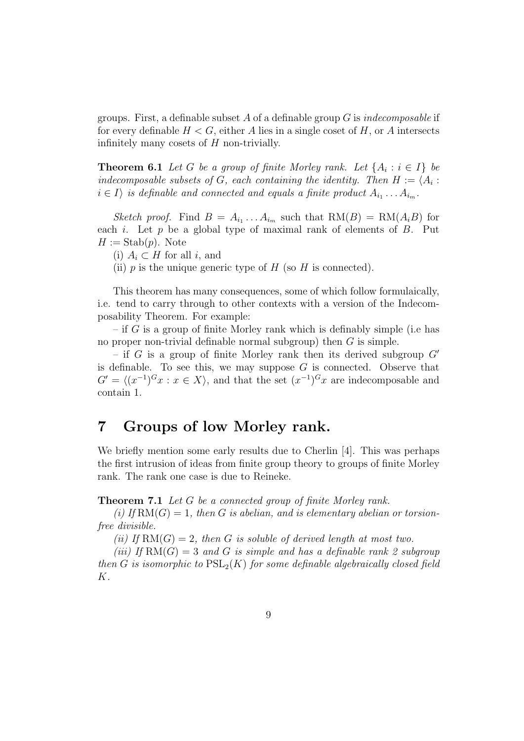groups. First, a definable subset A of a definable group G is *indecomposable* if for every definable  $H < G$ , either A lies in a single coset of H, or A intersects infinitely many cosets of  $H$  non-trivially.

**Theorem 6.1** Let G be a group of finite Morley rank. Let  $\{A_i : i \in I\}$  be indecomposable subsets of G, each containing the identity. Then  $H := \langle A_i : A_i \rangle$  $i \in I$  is definable and connected and equals a finite product  $A_{i_1} \ldots A_{i_m}$ .

Sketch proof. Find  $B = A_{i_1} \ldots A_{i_m}$  such that  $RM(B) = RM(A_iB)$  for each  $i$ . Let  $p$  be a global type of maximal rank of elements of  $B$ . Put  $H := \text{Stab}(p)$ . Note

(i)  $A_i \subset H$  for all i, and

(ii)  $p$  is the unique generic type of  $H$  (so  $H$  is connected).

This theorem has many consequences, some of which follow formulaically, i.e. tend to carry through to other contexts with a version of the Indecomposability Theorem. For example:

– if G is a group of finite Morley rank which is definably simple (i.e has no proper non-trivial definable normal subgroup) then  $G$  is simple.

– if G is a group of finite Morley rank then its derived subgroup  $G'$ is definable. To see this, we may suppose  $G$  is connected. Observe that  $G' = \langle (x^{-1})^G x : x \in X \rangle$ , and that the set  $(x^{-1})^G x$  are indecomposable and contain 1.

## 7 Groups of low Morley rank.

We briefly mention some early results due to Cherlin [4]. This was perhaps the first intrusion of ideas from finite group theory to groups of finite Morley rank. The rank one case is due to Reineke.

Theorem 7.1 Let G be a connected group of finite Morley rank.

(i) If  $RM(G) = 1$ , then G is abelian, and is elementary abelian or torsionfree divisible.

(ii) If  $RM(G) = 2$ , then G is soluble of derived length at most two.

(iii) If  $RM(G) = 3$  and G is simple and has a definable rank 2 subgroup then G is isomorphic to  $PSL_2(K)$  for some definable algebraically closed field K.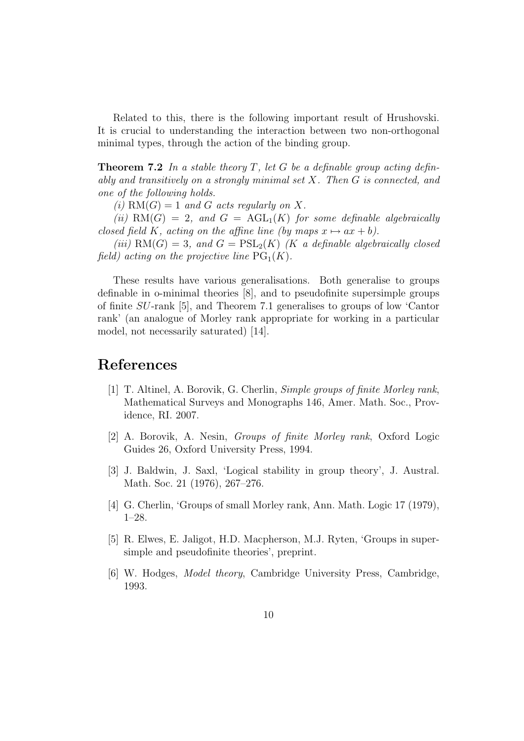Related to this, there is the following important result of Hrushovski. It is crucial to understanding the interaction between two non-orthogonal minimal types, through the action of the binding group.

**Theorem 7.2** In a stable theory  $T$ , let  $G$  be a definable group acting definably and transitively on a strongly minimal set X. Then G is connected, and one of the following holds.

(i)  $RM(G) = 1$  and G acts regularly on X.

(ii)  $RM(G) = 2$ , and  $G = \text{AGL}_1(K)$  for some definable algebraically closed field K, acting on the affine line (by maps  $x \mapsto ax + b$ ).

(iii)  $RM(G) = 3$ , and  $G = PSL<sub>2</sub>(K)$  (K a definable algebraically closed field) acting on the projective line  $PG<sub>1</sub>(K)$ .

These results have various generalisations. Both generalise to groups definable in o-minimal theories [8], and to pseudofinite supersimple groups of finite SU-rank [5], and Theorem 7.1 generalises to groups of low 'Cantor rank' (an analogue of Morley rank appropriate for working in a particular model, not necessarily saturated) [14].

## References

- [1] T. Altinel, A. Borovik, G. Cherlin, Simple groups of finite Morley rank, Mathematical Surveys and Monographs 146, Amer. Math. Soc., Providence, RI. 2007.
- [2] A. Borovik, A. Nesin, Groups of finite Morley rank, Oxford Logic Guides 26, Oxford University Press, 1994.
- [3] J. Baldwin, J. Saxl, 'Logical stability in group theory', J. Austral. Math. Soc. 21 (1976), 267–276.
- [4] G. Cherlin, 'Groups of small Morley rank, Ann. Math. Logic 17 (1979), 1–28.
- [5] R. Elwes, E. Jaligot, H.D. Macpherson, M.J. Ryten, 'Groups in supersimple and pseudofinite theories', preprint.
- [6] W. Hodges, Model theory, Cambridge University Press, Cambridge, 1993.